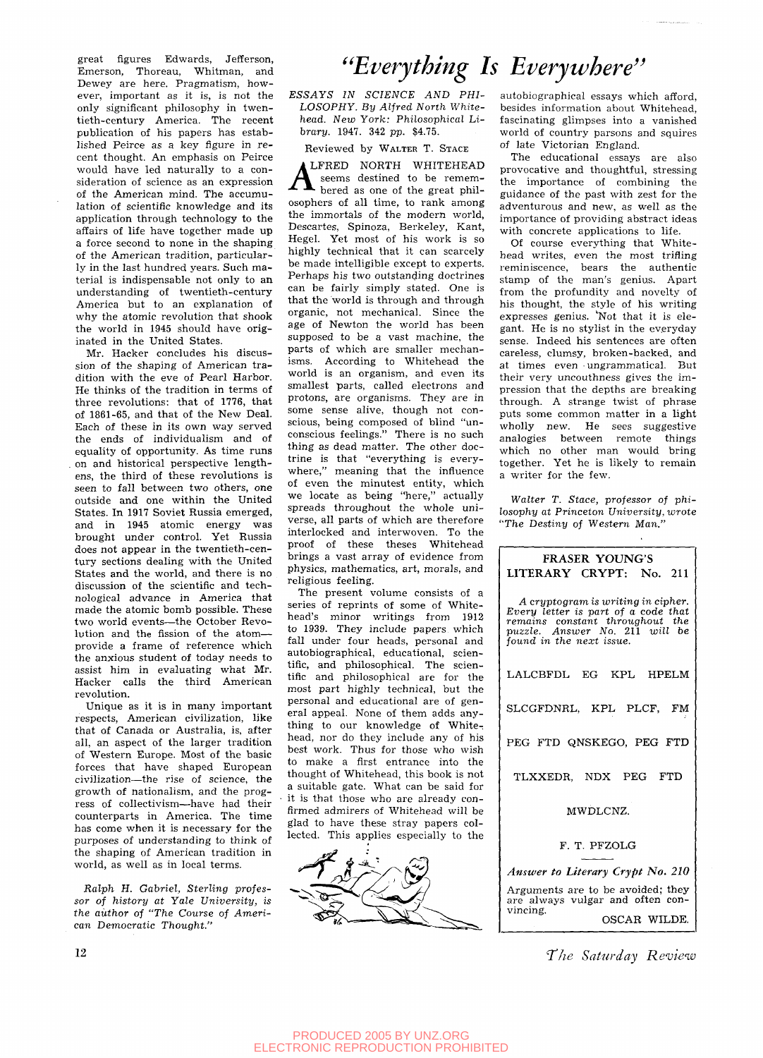great figures Edwards, Jefferson, Emerson, Thoreau, Whitman, and Dewey are here. Pragmatism, however, important as it is, is not the only significant philosophy in twentieth-century America. The recent publication of his papers has established Peirce as a key figure in recent thought. An emphasis on Peirce would have led naturally to a consideration of science as an expression of the American mind. The accumulation of scientific knowledge and its application through technology to the affairs of life have together made up a force second to none in the shaping of the American tradition, particularly in the last hundred years. Such material is indispensable not only to an understanding of twentieth-century America but to an explanation of why the atomic revolution that shook the world in 1945 should have originated in the United States.

Mr. Hacker concludes his discussion of the shaping of American tradition with the eve of Pearl Harbor. He thinks of the tradition in terms of three revolutions: that of 1776, that of 1861-65, and that of the New Deal. Each of these in its own way served the ends of individualism and of equality of opportunity. As time runs . on and historical perspective lengthens, the third of these revolutions is seen to fall between two others, one outside and one within the United States. In 1917 Soviet Russia emerged, and in 1945 atomic energy was brought under control. Yet Russia does not appear in the twentieth-century sections dealing with the United States and the world, and there is no discussion of the scientific and technological advance in America that made the atomic bomb possible. These two world events—the October Revolution and the fission of the atom provide a frame of reference which the anxious student of today needs to assist him in evaluating what Mr. Hacker calls the third American revolution.

Unique as it is in many important respects, American civilization, like that of Canada or Australia, is, after all, an aspect of the larger tradition of Western Europe. Most of the basic forces that have shaped European civilization—the rise of science, the growth of nationalism, and the progress of collectivism—have had their counterparts in America. The time has come when it is necessary for the purposes of understanding to think of the shaping of American tradition in world, as well as in local terms.

Ralph H. *Gabriel, Sterling projessor of history at Yale University, is the author* of "The Course *of American Democratic Thought."* 

*^'Everything Is Everywhere'^* 

*ESSAYS IN SCIENCE AND PHI-LOSOPHY. By Alfred North Whitehead. New York: Philosophical Library.* 1947. 342 pp. \$4.75.

Reviewed by WALTER T. STAGE

LFRED NORTH WHITEHEAD seems destined to be remembered as one of the great philosophers of all time, to rank among the immortals of the modern world, Descartes, Spinoza, Berkeley, Kant, Hegel. Yet most of his work is so highly technical that it can scarcely be made intelligible except to experts. Perhaps his two outstanding doctrines can be fairly simply stated. One is that the world is through and through organic, not mechanical. Since the age of Newton the world has been supposed to be a vast machine, the parts of which are smaller mechanisms. According to Whitehead the world is an organism, and even its smallest parts, called electrons and protons, are organisms. They are in some sense alive, though not conscious, being composed of blind "unconscious feelings." There is no such thing as dead matter. The other doctrine is that "everything is everywhere," meaning that the influence of even the minutest entity, which we locate as being "here," actually spreads throughout the whole universe, all parts of which are therefore interlocked and interwoven. To the proof of these theses Whitehead brings a vast array of evidence from physics, mathematics, art, morals, and religious feeling.

The present volume consists of a series of reprints of some of Whitehead's minor writings from 1912 to 1939. They include papers which fall under four heads, personal and autobiographical, educational, scientific, and philosophical. The scientific and philosophical are for the most part highly technical, but the personal and educational are of general appeal. None of them adds anything to our knowledge of Whitehead, nor do they include any of his best work. Thus for those who wish to make a first entrance into the thought of Whitehead, this book is not a suitable gate. What can be said for it is that those who are already confirmed admirers of Whitehead will be glad to have these stray papers collected. This applies especially to the



autobiographical essays which afford, besides information about Whitehead, fascinating glimpses into a vanished world of country parsons and squires of late Victorian England.

The educational essays are also provocative and thoughtful, stressing the importance of combining the guidance of the past with zest for the adventurous and new, as well as the importance of providing abstract ideas with concrete applications to life.

Of course everything that Whitehead writes, even the most trifiing reminiscence, bears the authentic stamp of the man's genius. Apart from the profundity and novelty of his thought, the style of his writing expresses genius. 'Not that it is elegant. He is no stylist in the everyday sense. Indeed his sentences are often careless, clumsy, broken-backed, and at times even ungrammatical. But their very uncouthness gives the impression that the depths are breaking through. A strange twist of phrase puts some common matter in a light wholly new. He sees suggestive analogies between remote things which no other man would bring together. Yet he is likely to remain a writer for the few.

*Walter* T. Stace, *professor of philosophy at Princeton University, wrote "The Destiny of Western Man."* 

## FRASER YOUNG'S LITERARY CRYPT: No. 211 *A cryptogram is writing in cipher. Every letter is part of a code that remains constant throughout the*  **puzzle.** Answer No. 211 will be puzzle. Answer No. 211 will be *found in the next issue.*  LALCBFDL EG KPL HPELM SLCGFDNRL, KPL PLCF, FM PEG FTD QNSKEGO, PEG FTD TLXXEDR, NDX PEG FTD MWDLCNZ. F. T. PFZOLG *Answer to Literary Crypt No. 210*  Arguments are to be avoided; they are always vulgar and often convincing. OSCAR WILDE.

12 *T'he Saturday Review*